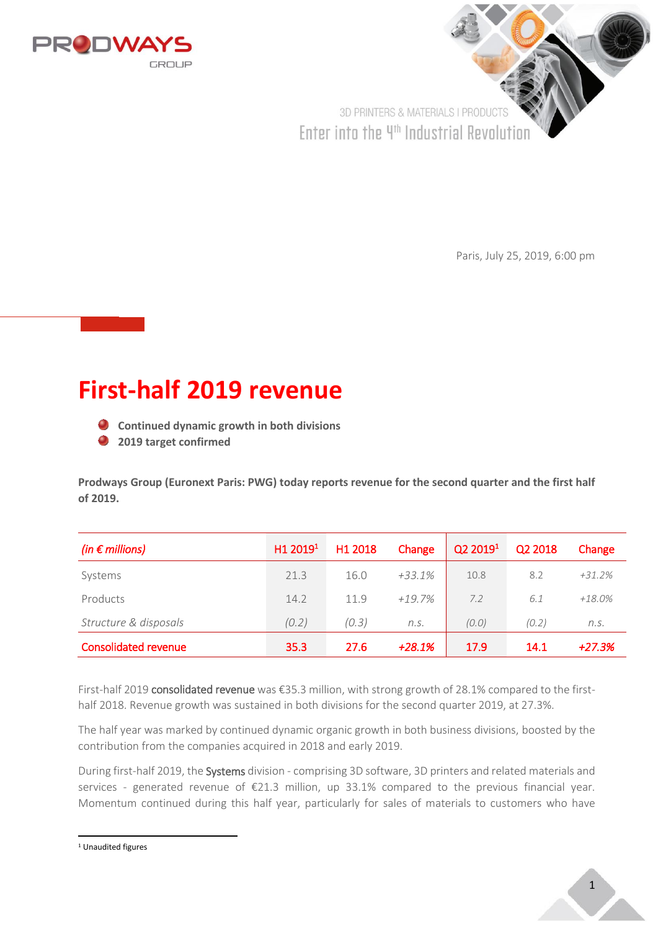

3D PRINTERS & MATERIALS I PRODUCTS Enter into the 4<sup>th</sup> Industrial Revolution

Paris, July 25, 2019, 6:00 pm

# **First-half 2019 revenue**

- **Continued dynamic growth in both divisions**
- **2019 target confirmed**

**Prodways Group (Euronext Paris: PWG) today reports revenue for the second quarter and the first half of 2019.** 

| (in $\epsilon$ millions)    | H1 2019 <sup>1</sup> | H1 2018 | Change   | Q2 2019 <sup>1</sup> | Q2 2018 | Change    |
|-----------------------------|----------------------|---------|----------|----------------------|---------|-----------|
| Systems                     | 21.3                 | 16.0    | $+33.1%$ | 10.8                 | 8.2     | $+31.2%$  |
| Products                    | 14.2                 | 11.9    | $+19.7%$ | 7.2                  | 6.1     | $+18.0\%$ |
| Structure & disposals       | (0.2)                | (0.3)   | n.S.     | (0,0)                | (0.2)   | n.S.      |
| <b>Consolidated revenue</b> | 35.3                 | 27.6    | $+28.1%$ | 17.9                 | 14.1    | $+27.3%$  |

First-half 2019 consolidated revenue was €35.3 million, with strong growth of 28.1% compared to the firsthalf 2018. Revenue growth was sustained in both divisions for the second quarter 2019, at 27.3%.

The half year was marked by continued dynamic organic growth in both business divisions, boosted by the contribution from the companies acquired in 2018 and early 2019.

During first-half 2019, the Systems division - comprising 3D software, 3D printers and related materials and services - generated revenue of €21.3 million, up 33.1% compared to the previous financial year. Momentum continued during this half year, particularly for sales of materials to customers who have

<sup>1</sup> Unaudited figures

**.**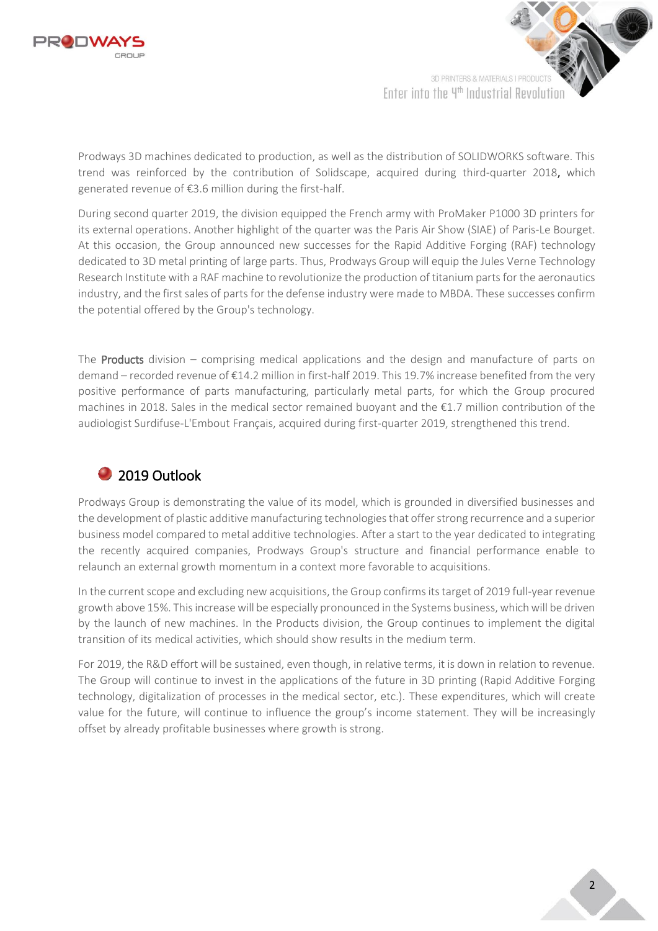

3D PRINTERS & MATERIALS I PRODUCT Enter into the 4th Industrial Revolution

Prodways 3D machines dedicated to production, as well as the distribution of SOLIDWORKS software. This trend was reinforced by the contribution of Solidscape, acquired during third-quarter 2018, which generated revenue of €3.6 million during the first-half.

During second quarter 2019, the division equipped the French army with ProMaker P1000 3D printers for its external operations. Another highlight of the quarter was the Paris Air Show (SIAE) of Paris-Le Bourget. At this occasion, the Group announced new successes for the Rapid Additive Forging (RAF) technology dedicated to 3D metal printing of large parts. Thus, Prodways Group will equip the Jules Verne Technology Research Institute with a RAF machine to revolutionize the production of titanium parts for the aeronautics industry, and the first sales of parts for the defense industry were made to MBDA. These successes confirm the potential offered by the Group's technology.

The **Products** division – comprising medical applications and the design and manufacture of parts on demand – recorded revenue of €14.2 million in first-half 2019. This 19.7% increase benefited from the very positive performance of parts manufacturing, particularly metal parts, for which the Group procured machines in 2018. Sales in the medical sector remained buoyant and the €1.7 million contribution of the audiologist Surdifuse-L'Embout Français, acquired during first-quarter 2019, strengthened this trend.

## 2019 Outlook

Prodways Group is demonstrating the value of its model, which is grounded in diversified businesses and the development of plastic additive manufacturing technologies that offer strong recurrence and a superior business model compared to metal additive technologies. After a start to the year dedicated to integrating the recently acquired companies, Prodways Group's structure and financial performance enable to relaunch an external growth momentum in a context more favorable to acquisitions.

In the current scope and excluding new acquisitions, the Group confirms its target of 2019 full-year revenue growth above 15%. This increase will be especially pronounced in the Systems business, which will be driven by the launch of new machines. In the Products division, the Group continues to implement the digital transition of its medical activities, which should show results in the medium term.

For 2019, the R&D effort will be sustained, even though, in relative terms, it is down in relation to revenue. The Group will continue to invest in the applications of the future in 3D printing (Rapid Additive Forging technology, digitalization of processes in the medical sector, etc.). These expenditures, which will create value for the future, will continue to influence the group's income statement. They will be increasingly offset by already profitable businesses where growth is strong.

2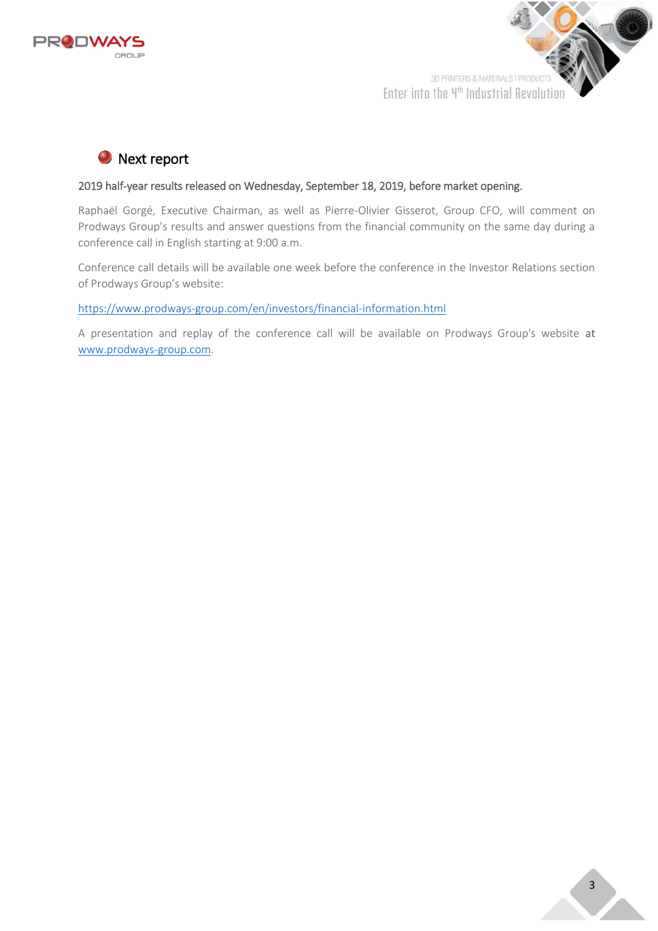



# **O** Next report

### 2019 half-year results released on Wednesday, September 18, 2019, before market opening.

Raphaël Gorgé, Executive Chairman, as well as Pierre-Olivier Gisserot, Group CFO, will comment on Prodways Group's results and answer questions from the financial community on the same day during a conference call in English starting at 9:00 a.m.

Conference call details will be available one week before the conference in the Investor Relations section of Prodways Group's website:

[https://www.prodways-group.com/en/investors/financial-information.html](https://www.prodways-group.com/investisseurs/informationfinanciere.html)

A presentation and replay of the conference call will be available on Prodways Group's website [at](https://www.prodways-group.com/)  [www.prodways-group.com.](https://www.prodways-group.com/)